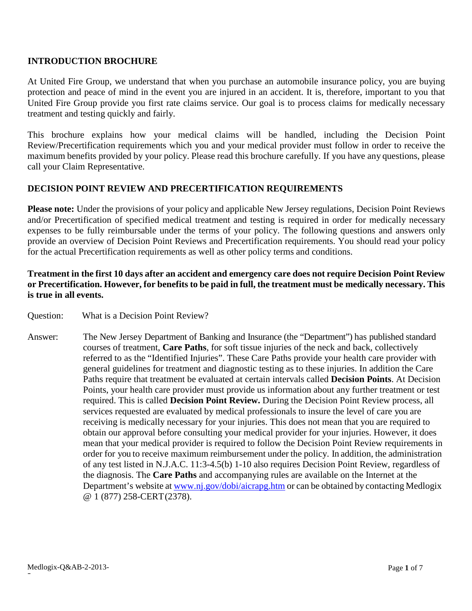#### **INTRODUCTION BROCHURE**

At United Fire Group, we understand that when you purchase an automobile insurance policy, you are buying protection and peace of mind in the event you are injured in an accident. It is, therefore, important to you that United Fire Group provide you first rate claims service. Our goal is to process claims for medically necessary treatment and testing quickly and fairly.

This brochure explains how your medical claims will be handled, including the Decision Point Review/Precertification requirements which you and your medical provider must follow in order to receive the maximum benefits provided by your policy. Please read this brochure carefully. If you have any questions, please call your Claim Representative.

## **DECISION POINT REVIEW AND PRECERTIFICATION REQUIREMENTS**

**Please note:** Under the provisions of your policy and applicable New Jersey regulations, Decision Point Reviews and/or Precertification of specified medical treatment and testing is required in order for medically necessary expenses to be fully reimbursable under the terms of your policy. The following questions and answers only provide an overview of Decision Point Reviews and Precertification requirements. You should read your policy for the actual Precertification requirements as well as other policy terms and conditions.

# Treatment in the first 10 days after an accident and emergency care does not require Decision Point Review or Precertification. However, for benefits to be paid in full, the treatment must be medically necessary. This **is true in all events.**

- Question: What is a Decision Point Review?
- Answer: The New Jersey Department of Banking and Insurance (the "Department") has published standard courses of treatment, **Care Paths**, for soft tissue injuries of the neck and back, collectively referred to as the "Identified Injuries". These Care Paths provide your health care provider with general guidelines for treatment and diagnostic testing as to these injuries. In addition the Care Paths require that treatment be evaluated at certain intervals called **Decision Points**. At Decision Points, your health care provider must provide us information about any further treatment or test required. This is called **Decision Point Review.** During the Decision Point Review process, all services requested are evaluated by medical professionals to insure the level of care you are receiving is medically necessary for your injuries. This does not mean that you are required to obtain our approval before consulting your medical provider for your injuries. However, it does mean that your medical provider is required to follow the Decision Point Review requirements in order for you to receive maximum reimbursement under the policy. In addition, the administration of any test listed in N.J.A.C. 11:3-4.5(b) 1-10 also requires Decision Point Review, regardless of the diagnosis. The **Care Paths** and accompanying rules are available on the Internet at the Department's website at [www.nj.gov/dobi/aicrapg.htm](http://www.nj.gov/dobi/aicrapg.htm) or can be obtained by contacting Medlogix @ 1 (877) 258-CERT(2378).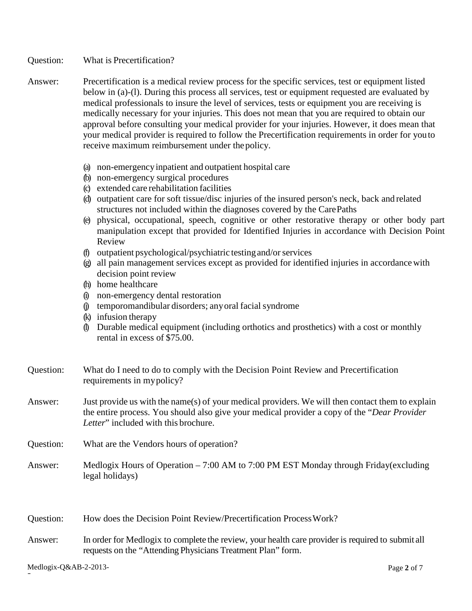Question: What is Precertification?

- Answer: Precertification is a medical review process for the specific services, test or equipment listed below in (a)-(l). During this process all services, test or equipment requested are evaluated by medical professionals to insure the level of services, tests or equipment you are receiving is medically necessary for your injuries. This does not mean that you are required to obtain our approval before consulting your medical provider for your injuries. However, it does mean that your medical provider is required to follow the Precertification requirements in order for youto receive maximum reimbursement under thepolicy.
	- (a) non-emergencyinpatient and outpatient hospital care
	- (b) non-emergency surgical procedures
	- (c) extended care rehabilitation facilities
	- (d) outpatient care for soft tissue/disc injuries of the insured person's neck, back and related structures not included within the diagnoses covered by the CarePaths
	- (e) physical, occupational, speech, cognitive or other restorative therapy or other body part manipulation except that provided for Identified Injuries in accordance with Decision Point Review
	- (f) outpatient psychological/psychiatric testingand/orservices
	- (g) all pain management services except as provided for identified injuries in accordancewith decision point review
	- (h) home healthcare
	- (i) non-emergency dental restoration
	- (j) temporomandibular disorders; anyoral facial syndrome
	- (k) infusion therapy
	- (l) Durable medical equipment (including orthotics and prosthetics) with a cost or monthly rental in excess of \$75.00.

| Question: | What do I need to do to comply with the Decision Point Review and Precertification |
|-----------|------------------------------------------------------------------------------------|
|           | requirements in my policy?                                                         |

- Answer: Just provide us with the name(s) of your medical providers. We will then contact them to explain the entire process. You should also give your medical provider a copy of the "*Dear Provider Letter*" included with this brochure.
- Question: What are the Vendors hours of operation?
- Answer: Medlogix Hours of Operation 7:00 AM to 7:00 PM EST Monday through Friday(excluding legal holidays)

Question: How does the Decision Point Review/Precertification Process Work?

Answer: In order for Medlogix to complete the review, your health care provider is required to submit all requests on the "Attending Physicians Treatment Plan" form.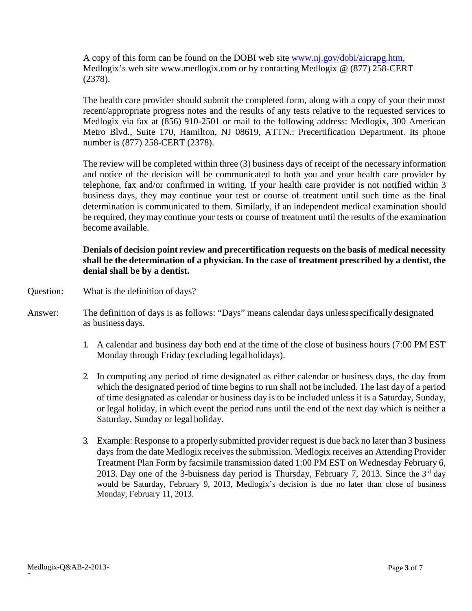A copy of this form can be found on the DOBI web site [www.nj.gov/dobi/aicrapg.htm,](http://www.nj.gov/dobi/aicrapg.htm) Medlogix's web site www.medlogix.com or by contacting Medlogix @ (877) 258-CERT (2378).

The health care provider should submit the completed form, along with a copy of your their most recent/appropriate progress notes and the results of any tests relative to the requested services to Medlogix via fax at (856) 910-2501 or mail to the following address: Medlogix, 300 American Metro Blvd., Suite 170, Hamilton, NJ 08619, ATTN.: Precertification Department. Its phone number is (877) 258-CERT (2378).

The review will be completed within three (3) business days of receipt of the necessary information and notice of the decision will be communicated to both you and your health care provider by telephone, fax and/or confirmed in writing. If your health care provider is not notified within 3 business days, they may continue your test or course of treatment until such time as the final determination is communicated to them. Similarly, if an independent medical examination should be required, theymay continue your tests or course of treatment until the results of the examination become available.

# **Denials of decision point review and precertification requests on the basis of medical necessity shall be the determination of a physician. In the case of treatment prescribed by a dentist, the denial shall be by a dentist.**

- Question: What is the definition of days?
- Answer: The definition of days is as follows: "Days" means calendar days unlessspecifically designated as business days.
	- 1. A calendar and business day both end at the time of the close of business hours (7:00 PM EST Monday through Friday (excluding legalholidays).
	- 2. In computing any period of time designated as either calendar or business days, the day from which the designated period of time begins to run shall not be included. The last day of a period of time designated as calendar or business day is to be included unless it is a Saturday, Sunday, or legal holiday, in which event the period runs until the end of the next day which is neither a Saturday, Sunday or legal holiday.
	- 3. Example: Response to a properly submitted provider request is due back no later than 3 business days from the date Medlogix receivesthe submission. Medlogix receives an Attending Provider Treatment Plan Form by facsimile transmission dated 1:00 PM EST on Wednesday February 6, 2013. Day one of the 3-buisness day period is Thursday, February 7, 2013. Since the  $3<sup>rd</sup>$  day would be Saturday, February 9, 2013, Medlogix's decision is due no later than close of business Monday, February 11, 2013.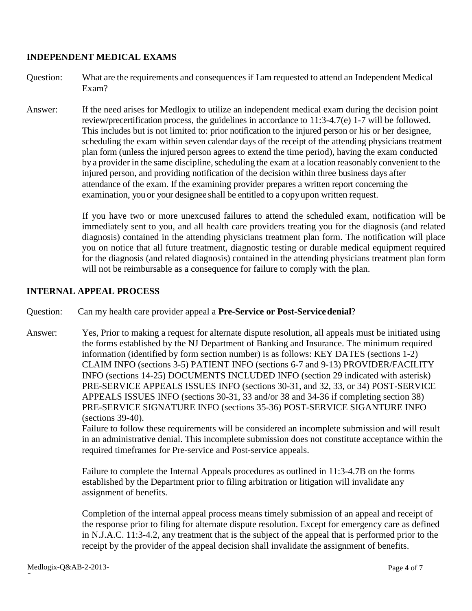## **INDEPENDENT MEDICAL EXAMS**

- Question: What are the requirements and consequences if I am requested to attend an Independent Medical Exam?
- Answer: If the need arises for Medlogix to utilize an independent medical exam during the decision point review/precertification process, the guidelines in accordance to 11:3-4.7(e) 1-7 will be followed. This includes but is not limited to: prior notification to the injured person or his or her designee, scheduling the exam within seven calendar days of the receipt of the attending physicians treatment plan form (unless the injured person agrees to extend the time period), having the exam conducted by a provider in the same discipline, scheduling the exam at a location reasonably convenient to the injured person, and providing notification of the decision within three business days after attendance of the exam. If the examining provider prepares a written report concerning the examination, you or your designee shall be entitled to a copyupon written request.

If you have two or more unexcused failures to attend the scheduled exam, notification will be immediately sent to you, and all health care providers treating you for the diagnosis (and related diagnosis) contained in the attending physicians treatment plan form. The notification will place you on notice that all future treatment, diagnostic testing or durable medical equipment required for the diagnosis (and related diagnosis) contained in the attending physicians treatment plan form will not be reimbursable as a consequence for failure to comply with the plan.

## **INTERNAL APPEAL PROCESS**

Question: Can my health care provider appeal a **Pre-Service or Post-Servicedenial**?

Answer: Yes, Prior to making a request for alternate dispute resolution, all appeals must be initiated using the forms established by the NJ Department of Banking and Insurance. The minimum required information (identified by form section number) is as follows: KEY DATES (sections 1-2) CLAIM INFO (sections 3-5) PATIENT INFO (sections 6-7 and 9-13) PROVIDER/FACILITY INFO (sections 14-25) DOCUMENTS INCLUDED INFO (section 29 indicated with asterisk) PRE-SERVICE APPEALS ISSUES INFO (sections 30-31, and 32, 33, or 34) POST-SERVICE APPEALS ISSUES INFO (sections 30-31, 33 and/or 38 and 34-36 if completing section 38) PRE-SERVICE SIGNATURE INFO (sections 35-36) POST-SERVICE SIGANTURE INFO (sections 39-40).

Failure to follow these requirements will be considered an incomplete submission and will result in an administrative denial. This incomplete submission does not constitute acceptance within the required timeframes for Pre-service and Post-service appeals.

Failure to complete the Internal Appeals procedures as outlined in 11:3-4.7B on the forms established by the Department prior to filing arbitration or litigation will invalidate any assignment of benefits.

Completion of the internal appeal process means timely submission of an appeal and receipt of the response prior to filing for alternate dispute resolution. Except for emergency care as defined in N.J.A.C. 11:3-4.2, any treatment that is the subject of the appeal that is performed prior to the receipt by the provider of the appeal decision shall invalidate the assignment of benefits.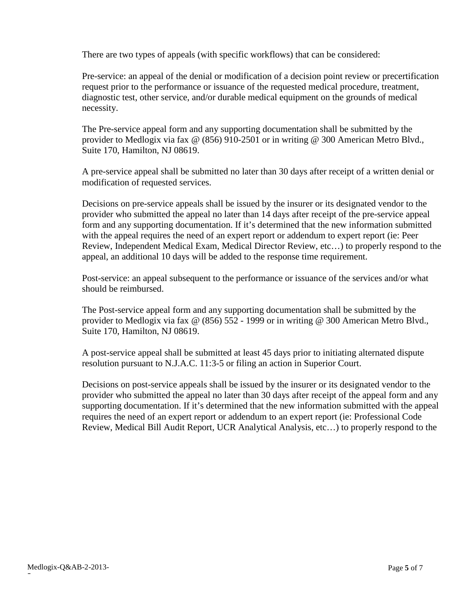There are two types of appeals (with specific workflows) that can be considered:

Pre-service: an appeal of the denial or modification of a decision point review or precertification request prior to the performance or issuance of the requested medical procedure, treatment, diagnostic test, other service, and/or durable medical equipment on the grounds of medical necessity.

The Pre-service appeal form and any supporting documentation shall be submitted by the provider to Medlogix via fax @ (856) 910-2501 or in writing @ 300 American Metro Blvd., Suite 170, Hamilton, NJ 08619.

A pre-service appeal shall be submitted no later than 30 days after receipt of a written denial or modification of requested services.

Decisions on pre-service appeals shall be issued by the insurer or its designated vendor to the provider who submitted the appeal no later than 14 days after receipt of the pre-service appeal form and any supporting documentation. If it's determined that the new information submitted with the appeal requires the need of an expert report or addendum to expert report (ie: Peer Review, Independent Medical Exam, Medical Director Review, etc…) to properly respond to the appeal, an additional 10 days will be added to the response time requirement.

Post-service: an appeal subsequent to the performance or issuance of the services and/or what should be reimbursed.

The Post-service appeal form and any supporting documentation shall be submitted by the provider to Medlogix via fax @ (856) 552 - 1999 or in writing @ 300 American Metro Blvd., Suite 170, Hamilton, NJ 08619.

A post-service appeal shall be submitted at least 45 days prior to initiating alternated dispute resolution pursuant to N.J.A.C. 11:3-5 or filing an action in Superior Court.

Decisions on post-service appeals shall be issued by the insurer or its designated vendor to the provider who submitted the appeal no later than 30 days after receipt of the appeal form and any supporting documentation. If it's determined that the new information submitted with the appeal requires the need of an expert report or addendum to an expert report (ie: Professional Code Review, Medical Bill Audit Report, UCR Analytical Analysis, etc…) to properly respond to the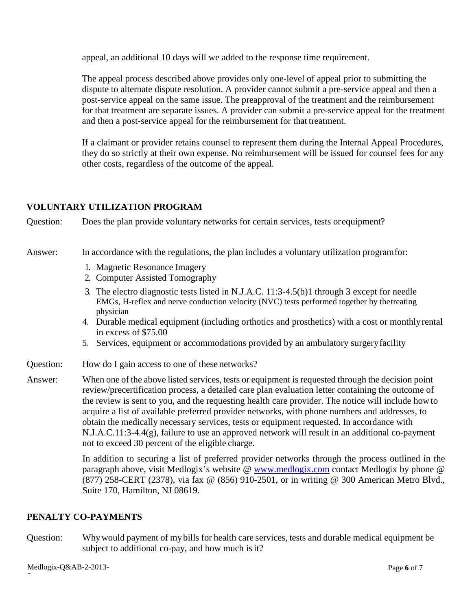appeal, an additional 10 days will we added to the response time requirement.

The appeal process described above provides only one-level of appeal prior to submitting the dispute to alternate dispute resolution. A provider cannot submit a pre-service appeal and then a post-service appeal on the same issue. The preapproval of the treatment and the reimbursement for that treatment are separate issues. A provider can submit a pre-service appeal for the treatment and then a post-service appeal for the reimbursement for that treatment.

If a claimant or provider retains counsel to represent them during the Internal Appeal Procedures, they do so strictly at their own expense. No reimbursement will be issued for counsel fees for any other costs, regardless of the outcome of the appeal.

## **VOLUNTARY UTILIZATION PROGRAM**

Question: Does the plan provide voluntary networks for certain services, tests orequipment?

#### Answer: In accordance with the regulations, the plan includes a voluntary utilization programfor:

- 1. Magnetic Resonance Imagery
- 2. Computer Assisted Tomography
- 3. The electro diagnostic tests listed in N.J.A.C. 11:3-4.5(b)1 through 3 except for needle EMGs, H-reflex and nerve conduction velocity (NVC) tests performed together by thetreating physician
- 4. Durable medical equipment (including orthotics and prosthetics) with a cost or monthlyrental in excess of \$75.00
- 5. Services, equipment or accommodations provided by an ambulatory surgeryfacility
- Question: How do I gain access to one of these networks?
- Answer: When one of the above listed services, tests or equipment is requested through the decision point review/precertification process, a detailed care plan evaluation letter containing the outcome of the review is sent to you, and the requesting health care provider. The notice will include howto acquire a list of available preferred provider networks, with phone numbers and addresses, to obtain the medically necessary services, tests or equipment requested. In accordance with N.J.A.C.11:3-4.4(g), failure to use an approved network will result in an additional co-payment not to exceed 30 percent of the eligible charge.

In addition to securing a list of preferred provider networks through the process outlined in the paragraph above, visit Medlogix's website @ [www.medlogix.com](http://www.medlogix.com/) contact Medlogix by phone @ (877) 258-CERT (2378), via fax @ (856) 910-2501, or in writing @ 300 American Metro Blvd., Suite 170, Hamilton, NJ 08619.

#### **PENALTY CO-PAYMENTS**

Question: Whywould payment of mybills for health care services, tests and durable medical equipment be subject to additional co-pay, and how much is it?